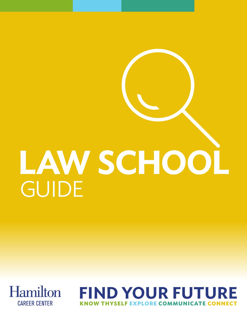# GUIDE **LAW SCHOOL**



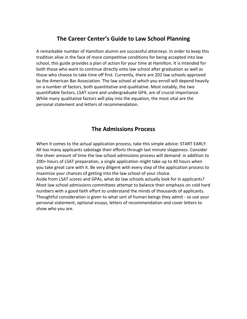# **The Career Center's Guide to Law School Planning**

A remarkable number of Hamilton alumni are successful attorneys. In order to keep this tradition alive in the face of more competitive conditions for being accepted into law school, this guide provides a plan of action for your time at Hamilton. It is intended for both those who want to continue directly onto law school after graduation as well as those who choose to take time off first. Currently, there are 202 law schools approved by the American Bar Association. The law school at which you enroll will depend heavily on a number of factors, both quantitative and qualitative. Most notably, the two quantifiable factors, LSAT score and undergraduate GPA, are of crucial importance. While many qualitative factors will play into the equation, the most vital are the personal statement and letters of recommendation.

# **The Admissions Process**

When it comes to the actual application process, take this simple advice: START EARLY. All too many applicants sabotage their efforts through last minute sloppiness. Consider the sheer amount of time the law school admissions process will demand: in addition to 200+ hours of LSAT preparation, a single application might take up to 40 hours when you take great care with it. Be very diligent with every step of the application process to maximize your chances of getting into the law school of your choice. Aside from LSAT scores and GPAs, what do law schools actually look for in applicants? Most law school admissions committees attempt to balance their emphasis on cold hard numbers with a good faith effort to understand the minds of thousands of applicants. Thoughtful consideration is given to what sort of human beings they admit - so use your personal statement, optional essays, letters of recommendation and cover letters to show who you are.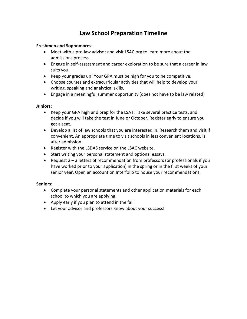# **Law School Preparation Timeline**

## **Freshmen and Sophomores:**

- Meet with a pre-law advisor and visit LSAC.org to learn more about the admissions process.
- Engage in self-assessment and career exploration to be sure that a career in law suits you.
- Keep your grades up! Your GPA must be high for you to be competitive.
- Choose courses and extracurricular activities that will help to develop your writing, speaking and analytical skills.
- Engage in a meaningful summer opportunity (does not have to be law related)

## **Juniors:**

- Keep your GPA high and prep for the LSAT. Take several practice tests, and decide if you will take the test in June or October. Register early to ensure you get a seat.
- Develop a list of law schools that you are interested in. Research them and visit if convenient. An appropriate time to visit schools in less convenient locations, is after admission.
- Register with the LSDAS service on the LSAC website.
- Start writing your personal statement and optional essays.
- Request 2 3 letters of recommendation from professors (or professionals if you have worked prior to your application) in the spring or in the first weeks of your senior year. Open an account on Interfolio to house your recommendations.

# **Seniors:**

- Complete your personal statements and other application materials for each school to which you are applying.
- Apply early if you plan to attend in the fall.
- Let your advisor and professors know about your success!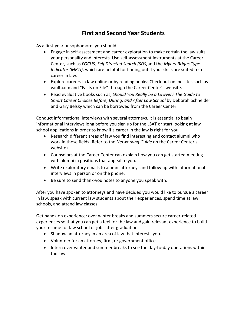# **First and Second Year Students**

As a first-year or sophomore, you should:

- Engage in self-assessment and career exploration to make certain the law suits your personality and interests. Use self-assessment instruments at the Career Center, such as *FOCUS, Self Directed Search (SDS)*and the *Myers-Briggs Type Indicator (MBTI)*, which are helpful for finding out if your skills are suited to a career in law.
- Explore careers in law online or by reading books: Check out online sites such as vault.com and "Facts on File" through the Career Center's website.
- Read evaluative books such as, *Should You Really be a Lawyer? The Guide to Smart Career Choices Before, During, and After Law School* by Deborah Schneider and Gary Belsky which can be borrowed from the Career Center.

Conduct informational interviews with several attorneys. It is essential to begin informational interviews long before you sign up for the LSAT or start looking at law school applications in order to know if a career in the law is right for you.

- Research different areas of law you find interesting and contact alumni who work in those fields (Refer to the *Networking Guide* on the Career Center's website).
- Counselors at the Career Center can explain how you can get started meeting with alumni in positions that appeal to you.
- Write exploratory emails to alumni attorneys and follow up with informational interviews in person or on the phone.
- Be sure to send thank-you notes to anyone you speak with.

After you have spoken to attorneys and have decided you would like to pursue a career in law, speak with current law students about their experiences, spend time at law schools, and attend law classes.

Get hands-on experience: over winter breaks and summers secure career-related experiences so that you can get a feel for the law and gain relevant experience to build your resume for law school or jobs after graduation.

- Shadow an attorney in an area of law that interests you.
- Volunteer for an attorney, firm, or government office.
- Intern over winter and summer breaks to see the day-to-day operations within the law.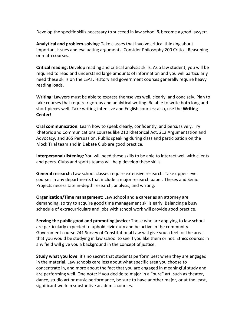Develop the specific skills necessary to succeed in law school & become a good lawyer:

**Analytical and problem-solving**: Take classes that involve critical thinking about important issues and evaluating arguments. Consider Philosophy 200 Critical Reasoning or math courses.

**Critical reading:** Develop reading and critical analysis skills. As a law student, you will be required to read and understand large amounts of information and you will particularly need these skills on the LSAT. History and government courses generally require heavy reading loads.

**Writing:** Lawyers must be able to express themselves well, clearly, and concisely. Plan to take courses that require rigorous and analytical writing. Be able to write both long and short pieces well. Take writing-intensive and English courses; also, use the **Writing Center!**

**Oral communication:** Learn how to speak clearly, confidently, and persuasively. Try Rhetoric and Communications courses like 210 Rhetorical Act, 212 Argumentation and Advocacy, and 365 Persuasion. Public speaking during class and participation on the Mock Trial team and in Debate Club are good practice.

**Interpersonal/listening:** You will need these skills to be able to interact well with clients and peers. Clubs and sports teams will help develop these skills.

**General research:** Law school classes require extensive research. Take upper-level courses in any departments that include a major research paper. Theses and Senior Projects necessitate in-depth research, analysis, and writing.

**Organization/Time management:** Law school and a career as an attorney are demanding, so try to acquire good time management skills early. Balancing a busy schedule of extracurriculars and jobs with school work will provide good practice.

**Serving the public good and promoting justice:** Those who are applying to law school are particularly expected to uphold civic duty and be active in the community. Government course 241 Survey of Constitutional Law will give you a feel for the areas that you would be studying in law school to see if you like them or not. Ethics courses in any field will give you a background in the concept of justice.

**Study what you love**: it's no secret that students perform best when they are engaged in the material. Law schools care less about what specific area you choose to concentrate in, and more about the fact that you are engaged in meaningful study and are performing well. One note: if you decide to major in a "pure" art, such as theater, dance, studio art or music performance, be sure to have another major, or at the least, significant work in substantive academic courses.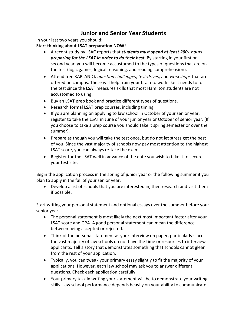# **Junior and Senior Year Students**

In your last two years you should:

**Start thinking about LSAT preparation NOW!** 

- A recent study by LSAC reports that *students must spend at least 200+ hours preparing for the LSAT in order to do their best*. By starting in your first or second year, you will become accustomed to the types of questions that are on the test (logic games, logical reasoning, and reading comprehension).
- Attend free KAPLAN *10 question challenges*, *test-drives*, and *workshops* that are offered on campus. These will help train your brain to work like it needs to for the test since the LSAT measures skills that most Hamilton students are not accustomed to using.
- Buy an LSAT prep book and practice different types of questions.
- Research formal LSAT prep courses, including timing.
- If you are planning on applying to law school in October of your senior year, register to take the LSAT in June of your junior year or October of senior year. (If you choose to take a prep course you should take it spring semester or over the summer).
- Prepare as though you will take the test once, but do not let stress get the best of you. Since the vast majority of schools now pay most attention to the highest LSAT score, you can always re-take the exam.
- Register for the LSAT well in advance of the date you wish to take it to secure your test site.

Begin the application process in the spring of junior year or the following summer if you plan to apply in the fall of your senior year.

• Develop a list of schools that you are interested in, then research and visit them if possible.

Start writing your personal statement and optional essays over the summer before your senior year

- The personal statement is most likely the next most important factor after your LSAT score and GPA. A good personal statement can mean the difference between being accepted or rejected.
- Think of the personal statement as your interview on paper, particularly since the vast majority of law schools do not have the time or resources to interview applicants. Tell a story that demonstrates something that schools cannot glean from the rest of your application.
- Typically, you can tweak your primary essay slightly to fit the majority of your applications. However, each law school may ask you to answer different questions. Check each application carefully.
- Your primary task in writing your statement will be to demonstrate your writing skills. Law school performance depends heavily on your ability to communicate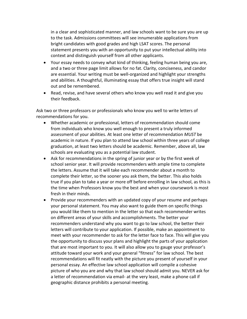in a clear and sophisticated manner, and law schools want to be sure you are up to the task. Admissions committees will see innumerable applications from bright candidates with good grades and high LSAT scores. The personal statement presents you with an opportunity to put your intellectual ability into context and distinguish yourself from all other applicants.

- Your essay needs to convey what kind of thinking, feeling human being you are, and a two or three page limit allows for no fat. Clarity, conciseness, and candor are essential. Your writing must be well-organized and highlight your strengths and abilities. A thoughtful, illuminating essay that offers true insight will stand out and be remembered.
- Read, revise, and have several others who know you well read it and give you their feedback.

Ask two or three professors or professionals who know you well to write letters of recommendations for you.

- Whether academic or professional, letters of recommendation should come from individuals who know you well enough to present a truly informed assessment of your abilities. At least one letter of recommendation *MUST* be academic in nature. If you plan to attend law school within three years of college graduation, at least two letters should be academic. Remember, above all, law schools are evaluating you as a potential law student.
- Ask for recommendations in the spring of junior year or by the first week of school senior year. It will provide recommenders with ample time to complete the letters. Assume that it will take each recommender about a month to complete their letter, so the sooner you ask them, the better. This also holds true if you plan to take a year or more off before enrolling in law school, as this is the time when Professors know you the best and when your coursework is most fresh in their minds.
- Provide your recommenders with an updated copy of your resume and perhaps your personal statement. You may also want to guide them on specific things you would like them to mention in the letter so that each recommender writes on different areas of your skills and accomplishments. The better your recommenders understand why you want to go to law school, the better their letters will contribute to your application. If possible, make an appointment to meet with your recommender to ask for the letter face to face. This will give you the opportunity to discuss your plans and highlight the parts of your application that are most important to you. It will also allow you to gauge your professor's attitude toward your work and your general "fitness" for law school. The best recommendations will fit neatly with the picture you present of yourself in your personal essay. An effective law school application will compile a cohesive picture of who you are and why that law school should admit you. NEVER ask for a letter of recommendation via email- at the very least, make a phone call if geographic distance prohibits a personal meeting.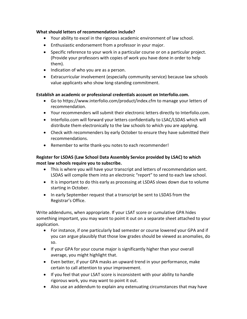## **What should letters of recommendation include?**

- Your ability to excel in the rigorous academic environment of law school.
- Enthusiastic endorsement from a professor in your major.
- Specific reference to your work in a particular course or on a particular project. (Provide your professors with copies of work you have done in order to help them).
- Indication of who you are as a person.
- Extracurricular involvement (especially community service) because law schools value applicants who show long-standing commitment.

# **Establish an academic or professional credentials account on Interfolio.com.**

- Go to https://www.interfolio.com/product/index.cfm to manage your letters of recommendation.
- Your recommenders will submit their electronic letters directly to Interfolio.com.
- Interfolio.com will forward your letters confidentially to LSAC/LSDAS which will distribute them electronically to the law schools to which you are applying.
- Check with recommenders by early October to ensure they have submitted their recommendations.
- Remember to write thank-you notes to each recommender!

# **Register for LSDAS (Law School Data Assembly Service provided by LSAC) to which most law schools require you to subscribe.**

- This is where you will have your transcript and letters of recommendation sent. LSDAS will compile them into an electronic "report" to send to each law school.
- It is important to do this early as processing at LSDAS slows down due to volume starting in October.
- In early September request that a transcript be sent to LSDAS from the Registrar's Office.

Write addendums, when appropriate. If your LSAT score or cumulative GPA hides something important, you may want to point it out on a separate sheet attached to your application.

- For instance, if one particularly bad semester or course lowered your GPA and if you can argue plausibly that those low grades should be viewed as anomalies, do so.
- If your GPA for your course major is significantly higher than your overall average, you might highlight that.
- Even better, if your GPA masks an upward trend in your performance, make certain to call attention to your improvement.
- If you feel that your LSAT score is inconsistent with your ability to handle rigorous work, you may want to point it out.
- Also use an addendum to explain any extenuating circumstances that may have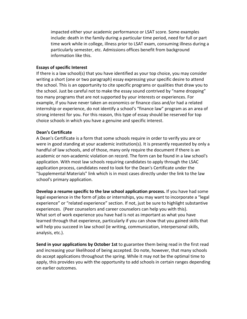impacted either your academic performance or LSAT score. Some examples include: death in the family during a particular time period, need for full or part time work while in college, illness prior to LSAT exam, consuming illness during a particularly semester, etc. Admissions offices benefit from background information like this.

#### **Essays of specific Interest**

If there is a law school(s) that you have identified as your top choice, you may consider writing a short (one or two paragraph) essay expressing your specific desire to attend the school. This is an opportunity to cite specific programs or qualities that draw you to the school. Just be careful not to make the essay sound contrived by "name dropping" too many programs that are not supported by your interests or experiences. For example, if you have never taken an economics or finance class and/or had a related internship or experience, do not identify a school's "finance law" program as an area of strong interest for you. For this reason, this type of essay should be reserved for top choice schools in which you have a genuine and specific interest.

# **Dean's Certificate**

A Dean's Certificate is a form that some schools require in order to verify you are or were in good standing at your academic institution(s). It is presently requested by only a handful of law schools, and of those, many only require the document if there is an academic or non-academic violation on record. The form can be found in a law school's application. With most law schools requiring candidates to apply through the LSAC application process, candidates need to look for the Dean's Certificate under the "Supplemental Materials" link which is in most cases directly under the link to the law school's primary application.

**Develop a resume specific to the law school application process.** If you have had some legal experience in the form of jobs or internships, you may want to incorporate a "legal experience" or "related experience" section. If not, just be sure to highlight substantive experiences. (Peer counselors and career counselors can help you with this). What sort of work experience you have had is not as important as what you have learned through that experience, particularly if you can show that you gained skills that will help you succeed in law school (ie writing, communication, interpersonal skills, analysis, etc.).

**Send in your applications by October 1st** to guarantee them being read in the first read and increasing your likelihood of being accepted. Do note, however, that many schools do accept applications throughout the spring. While it may not be the optimal time to apply, this provides you with the opportunity to add schools in certain ranges depending on earlier outcomes.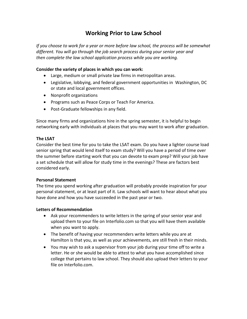# **Working Prior to Law School**

*If you choose to work for a year or more before law school, the process will be somewhat different. You will go through the job search process during your senior year and then complete the law school application process while you are working.* 

# **Consider the variety of places in which you can work:**

- Large, medium or small private law firms in metropolitan areas.
- Legislative, lobbying, and federal government opportunities in Washington, DC or state and local government offices.
- Nonprofit organizations
- Programs such as Peace Corps or Teach For America.
- Post-Graduate fellowships in any field.

Since many firms and organizations hire in the spring semester, it is helpful to begin networking early with individuals at places that you may want to work after graduation.

# **The LSAT**

Consider the best time for you to take the LSAT exam. Do you have a lighter course load senior spring that would lend itself to exam study? Will you have a period of time over the summer before starting work that you can devote to exam prep? Will your job have a set schedule that will allow for study time in the evenings? These are factors best considered early.

# **Personal Statement**

The time you spend working after graduation will probably provide inspiration for your personal statement, or at least part of it. Law schools will want to hear about what you have done and how you have succeeded in the past year or two.

# **Letters of Recommendation**

- Ask your recommenders to write letters in the spring of your senior year and upload them to your file on Interfolio.com so that you will have them available when you want to apply.
- The benefit of having your recommenders write letters while you are at Hamilton is that you, as well as your achievements, are still fresh in their minds.
- You may wish to ask a supervisor from your job during your time off to write a letter. He or she would be able to attest to what you have accomplished since college that pertains to law school. They should also upload their letters to your file on Interfolio.com.